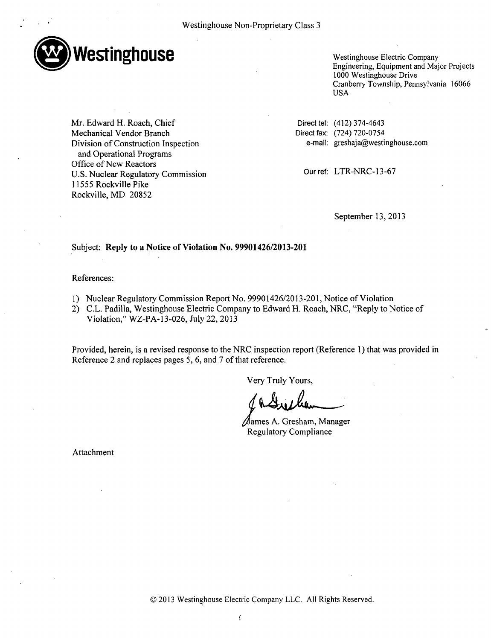

Westinghouse Electric Company Engineering, Equipment and Major Projects 1000 Westinghouse Drive Cranberry Township, Pennsylvania 16066 USA

Mr. Edward H. Roach, Chief Mechanical Vendor Branch Division of Construction Inspection and Operational Programs Office of New Reactors U.S. Nuclear Regulatory Commission 11555 Rockville Pike Rockville, MD 20852

Direct tel: (412) 374-4643 Direct fax: (724) 720-0754 e-mail: greshaja@westinghouse.com

Our ref: LTR-NRC-13-67

September 13, 2013

## Subject: **Reply** to a Notice of Violation No. **99901426/2013-201**

## References:

- 1) Nuclear Regulatory Commission Report No. 99901426/2013-201, Notice of Violation
- 2) C.L. Padilla, Westinghouse Electric Company to Edward H. Roach, NRC, "Reply to Notice of Violation," WZ-PA-13-026, July 22, 2013

Provided, herein, is a revised response to the NRC inspection report (Reference 1) that was provided in Reference 2 and replaces pages 5, 6, and 7 of that reference.

Very Truly Yours,

lames **A.** Gresham, Manager Regulatory Compliance

Attachment

© 2013 Westinghouse Electric Company LLC. All Rights Reserved.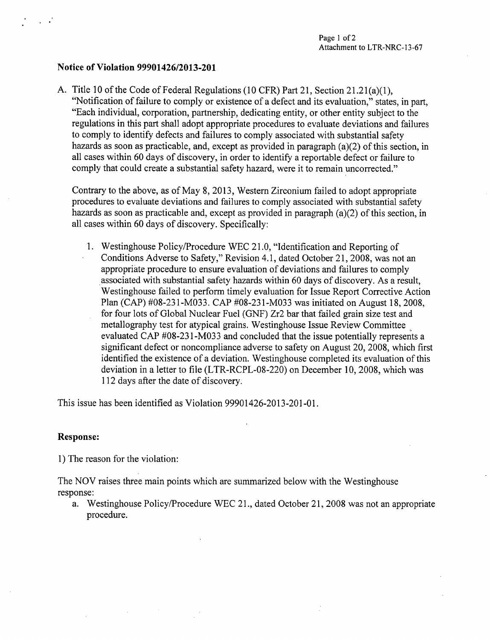## Notice of Violation **99901426/2013-201**

**A.** Title 10 of the Code of Federal Regulations (10 CFR) Part 21, Section 21.21(a)(1), "Notification of failure to comply or existence of a defect and its evaluation," states, in part, "Each individual, corporation, partnership, dedicating entity, or other entity subject to the regulations in this part shall adopt appropriate procedures to evaluate deviations and failures to comply to identify defects and failures to comply associated with substantial safety hazards as soon as practicable, and, except as provided in paragraph (a)(2) of this section, in all cases within 60 days of discovery, in order to identify a reportable defect or failure to comply that could create a substantial safety hazard, were it to remain uncorrected."

Contrary to the above, as of May 8, 2013, Western Zirconium failed to adopt appropriate procedures to evaluate deviations and failures to comply associated with substantial safety hazards as soon as practicable and, except as provided in paragraph (a)(2) of this section, in all cases within 60 days of discovery. Specifically:

1. Westinghouse Policy/Procedure WEC 21.0, "Identification and Reporting of Conditions Adverse to Safety," Revision 4.1, dated October 21, 2008, was not an appropriate procedure to ensure evaluation of deviations and failures to comply associated with substantial safety hazards within 60 days of discovery. As a result, Westinghouse failed to perform timely evaluation for Issue Report Corrective Action Plan (CAP) #08-231-M033. CAP #08-231-M033 was initiated on August 18, 2008, for four lots of Global Nuclear Fuel (GNF) Zr2 bar that failed grain size test and metallography test for atypical grains. Westinghouse Issue Review Committee evaluated CAP #08-231-M033 and concluded that the issue potentially represents a significant defect or noncompliance adverse to safety on August 20, 2008, which first identified the existence of a deviation. Westinghouse completed its evaluation of this deviation in a letter to file (LTR-RCPL-08-220) on December 10, 2008, which was 112 days after the date of discovery.

This issue has been identified as Violation 99901426-2013-201-01.

## Response:

1) The reason for the violation:

The NOV raises three main points which are summarized below with the Westinghouse response:

a. Westinghouse Policy/Procedure WEC 21., dated October 21, 2008 was not an appropriate procedure.